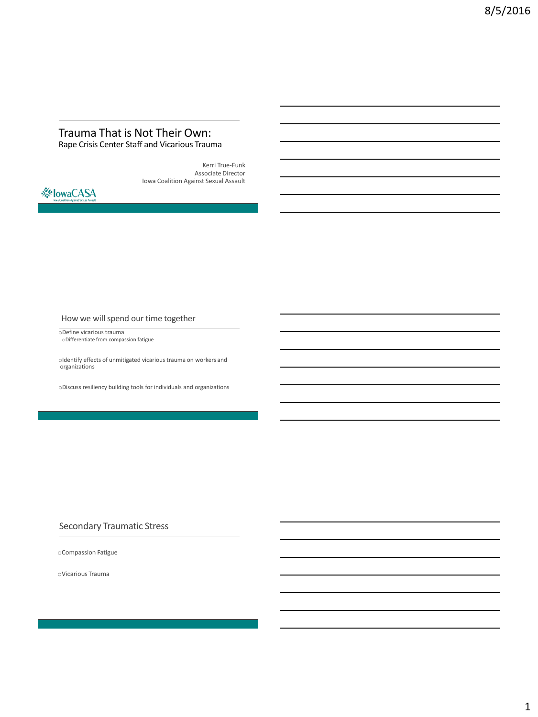#### Trauma That is Not Their Own: Rape Crisis Center Staff and Vicarious Trauma

Kerri True-Funk Associate Director Iowa Coalition Against Sexual Assault



How we will spend our time together

oDefine vicarious trauma oDifferentiate from compassion fatigue

 $\circ$ Identify effects of unmitigated vicarious trauma on workers and organizations

oDiscuss resiliency building tools for individuals and organizations

#### Secondary Traumatic Stress

oCompassion Fatigue

oVicarious Trauma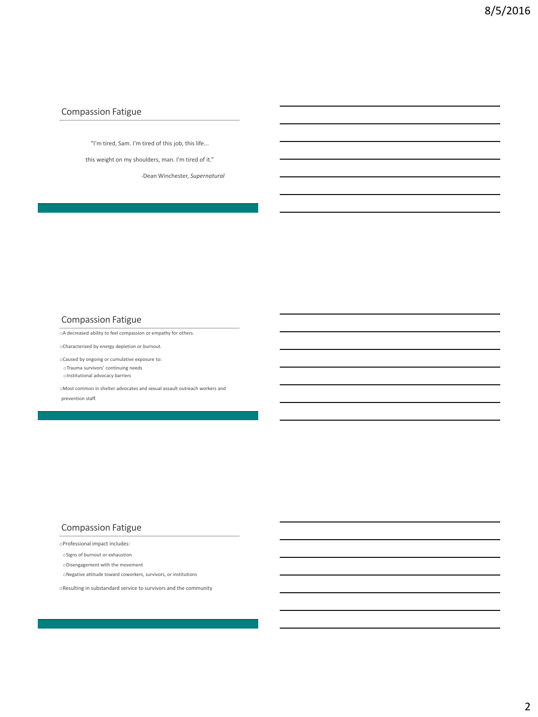#### Compassion Fatigue

"I'm tired, Sam. I'm tired of this job, this life...

this weight on my shoulders, man. I'm tired of it."

-Dean Winchester, *Supernatural*

#### Compassion Fatigue

oA decreased ability to feel compassion or empathy for others.

oCharacterized by energy depletion or burnout.

oCaused by ongoing or cumulative exposure to: oTrauma survivors' continuing needs oInstitutional advocacy barriers

oMost common in shelter advocates and sexual assault outreach workers and prevention staff.

## Compassion Fatigue

oProfessional impact includes:

oSigns of burnout or exhaustion

oDisengagement with the movement

 $\circ$  Negative attitude toward coworkers, survivors, or institutions

oResulting in substandard service to survivors and the community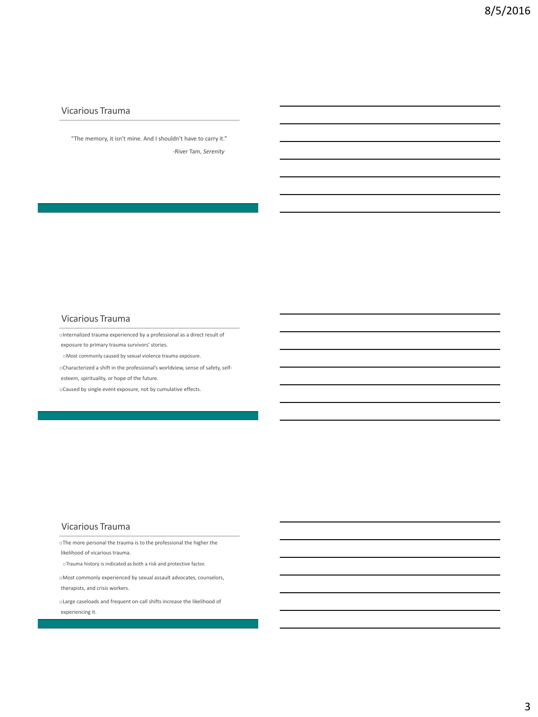### Vicarious Trauma

"The memory, it isn't mine. And I shouldn't have to carry it." -River Tam, *Serenity*

## Vicarious Trauma

oInternalized trauma experienced by a professional as a direct result of

exposure to primary trauma survivors' stories.

oMost commonly caused by sexual violence trauma exposure.

oCharacterized a shift in the professional's worldview, sense of safety, selfesteem, spirituality, or hope of the future.

oCaused by single event exposure, not by cumulative effects.

#### Vicarious Trauma

oThe more personal the trauma is to the professional the higher the likelihood of vicarious trauma.

oTrauma history is indicated as both a risk and protective factor.

oMost commonly experienced by sexual assault advocates, counselors, therapists, and crisis workers.

oLarge caseloads and frequent on-call shifts increase the likelihood of experiencing it.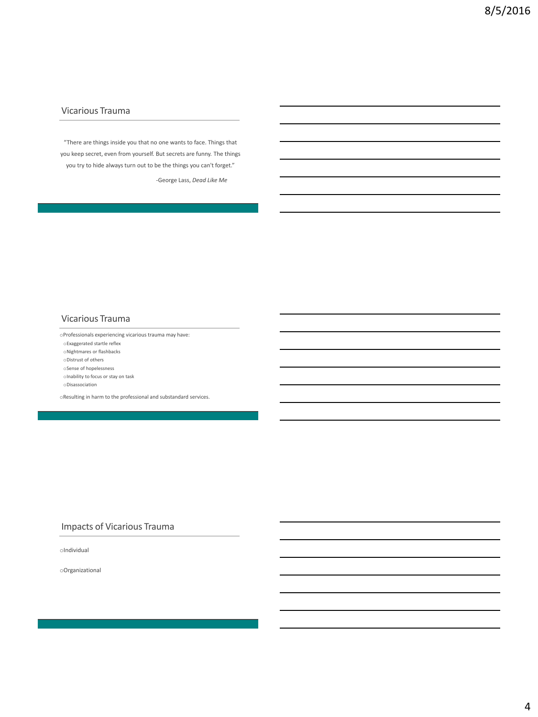## Vicarious Trauma

"There are things inside you that no one wants to face. Things that you keep secret, even from yourself. But secrets are funny. The things you try to hide always turn out to be the things you can't forget."

-George Lass, *Dead Like Me*

#### Vicarious Trauma

oProfessionals experiencing vicarious trauma may have:

oExaggerated startle reflex

oNightmares or flashbacks

oDistrust of others

oSense of hopelessness

oInability to focus or stay on task

oDisassociation

oResulting in harm to the professional and substandard services.

#### Impacts of Vicarious Trauma

oIndividual

oOrganizational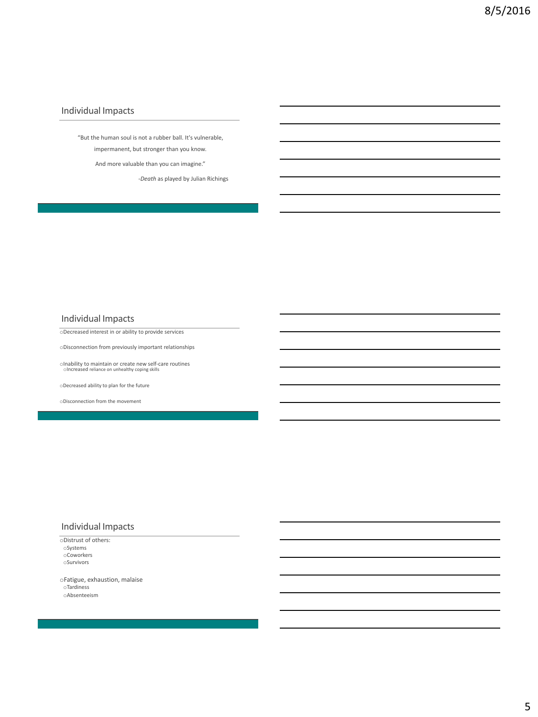### Individual Impacts

"But the human soul is not a rubber ball. It's vulnerable, impermanent, but stronger than you know.

And more valuable than you can imagine."

-*Death* as played by Julian Richings

#### Individual Impacts

oDecreased interest in or ability to provide services

 $\circ$ Disconnection from previously important relationships

oInability to maintain or create new self-care routines<br>
oIncreased reliance on unhealthy coping skills

oDecreased ability to plan for the future

oDisconnection from the movement

# Individual Impacts

oDistrust of others: oSystems oCoworkers oSurvivors

oFatigue, exhaustion, malaise oTardiness oAbsenteeism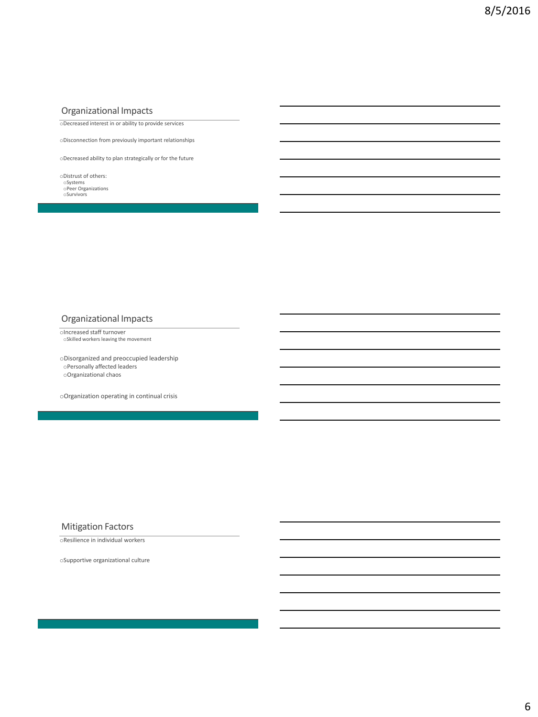## Organizational Impacts

oDecreased interest in or ability to provide services

oDisconnection from previously important relationships

oDecreased ability to plan strategically or for the future

- oDistrust of others:
- oSystems oPeer Organizations oSurvivors

### Organizational Impacts

oIncreased staff turnover oSkilled workers leaving the movement

oDisorganized and preoccupied leadership oPersonally affected leaders oOrganizational chaos

oOrganization operating in continual crisis

#### Mitigation Factors

oResilience in individual workers

oSupportive organizational culture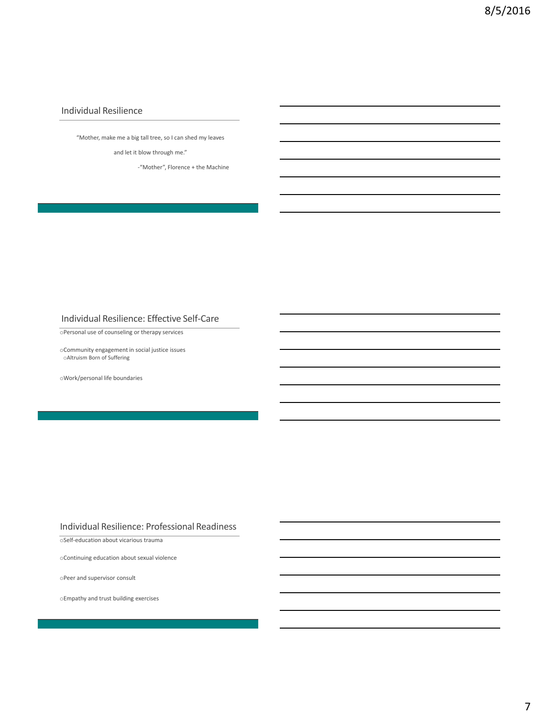## Individual Resilience

"Mother, make me a big tall tree, so I can shed my leaves

and let it blow through me."

-"Mother", Florence + the Machine

#### Individual Resilience: Effective Self-Care

oPersonal use of counseling or therapy services

oCommunity engagement in social justice issues oAltruism Born of Suffering

oWork/personal life boundaries

#### Individual Resilience: Professional Readiness

oSelf-education about vicarious trauma

oContinuing education about sexual violence

oPeer and supervisor consult

oEmpathy and trust building exercises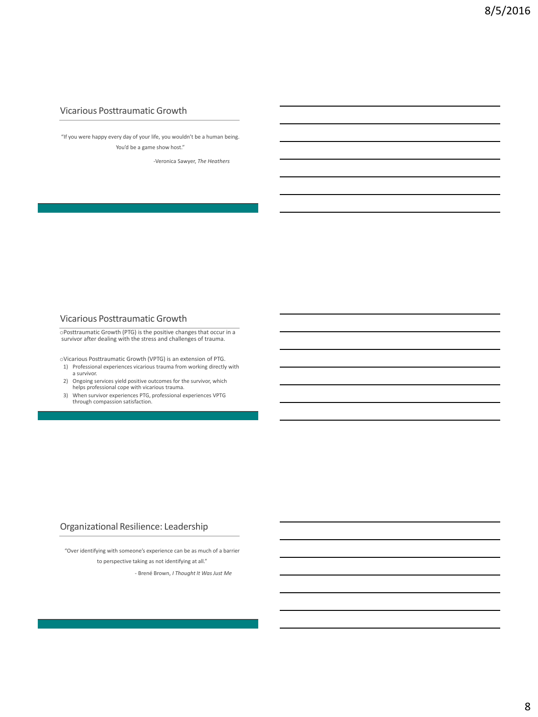### Vicarious Posttraumatic Growth

"If you were happy every day of your life, you wouldn't be a human being. You'd be a game show host."

-Veronica Sawyer, *The Heathers*

#### Vicarious Posttraumatic Growth

oPosttraumatic Growth (PTG) is the positive changes that occur in a survivor after dealing with the stress and challenges of trauma.

oVicarious Posttraumatic Growth (VPTG) is an extension of PTG.

- 1) Professional experiences vicarious trauma from working directly with a survivor.
- 2) Ongoing services yield positive outcomes for the survivor, which helps professional cope with vicarious trauma. 3) When survivor experiences PTG, professional experiences VPTG through compassion satisfaction.
- 

## Organizational Resilience: Leadership

"Over identifying with someone's experience can be as much of a barrier to perspective taking as not identifying at all."

- Brené Brown, *I Thought It Was Just Me*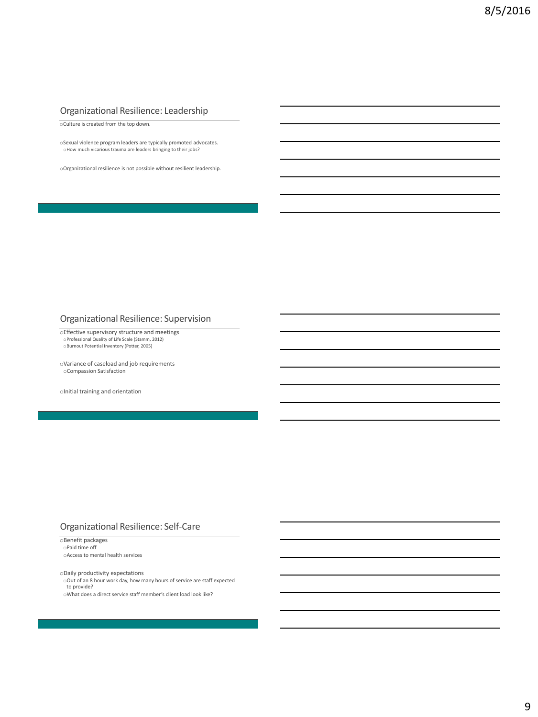## Organizational Resilience: Leadership

oCulture is created from the top down.

oSexual violence program leaders are typically promoted advocates. oHow much vicarious trauma are leaders bringing to their jobs?

oOrganizational resilience is not possible without resilient leadership.

### Organizational Resilience: Supervision

oEffective supervisory structure and meetings oProfessional Quality of Life Scale (Stamm, 2012) oBurnout Potential Inventory (Potter, 2005)

oVariance of caseload and job requirements oCompassion Satisfaction

oInitial training and orientation

#### Organizational Resilience: Self-Care

oBenefit packages oPaid time off oAccess to mental health services

oDaily productivity expectations

oOut of an 8 hour work day, how many hours of service are staff expected to provide? oWhat does a direct service staff member's client load look like?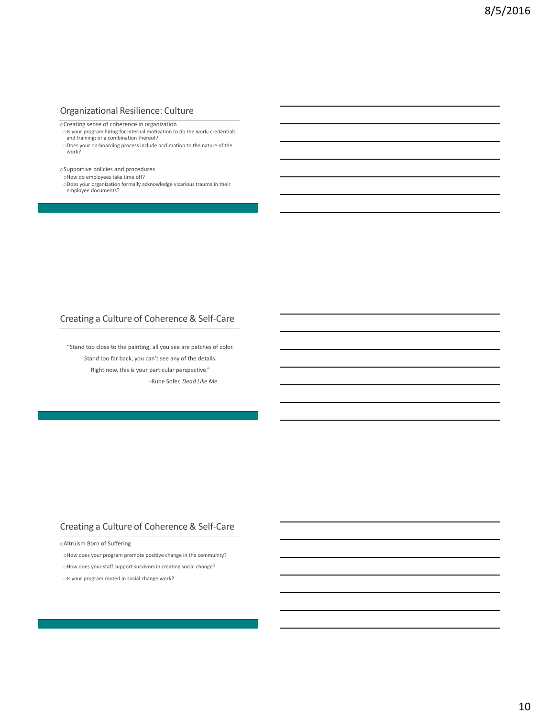## Organizational Resilience: Culture

oCreating sense of coherence in organization

ols your program hiring for internal motivation to do the work; credentials and training; or a combination thereof? oDoes your on-boarding process include acclimation to the nature of the work?

oSupportive policies and procedures

oHow do employees take time off?

oDoes your organization formally acknowledge vicarious trauma in their employee documents?

# Creating a Culture of Coherence & Self-Care

"Stand too close to the painting, all you see are patches of color. Stand too far back, you can't see any of the details. Right now, this is your particular perspective." -Rube Sofer, *Dead Like Me*

## Creating a Culture of Coherence & Self-Care

oAltruism Born of Suffering

oHow does your program promote positive change in the community? oHow does your staff support survivors in creating social change? ols your program rooted in social change work?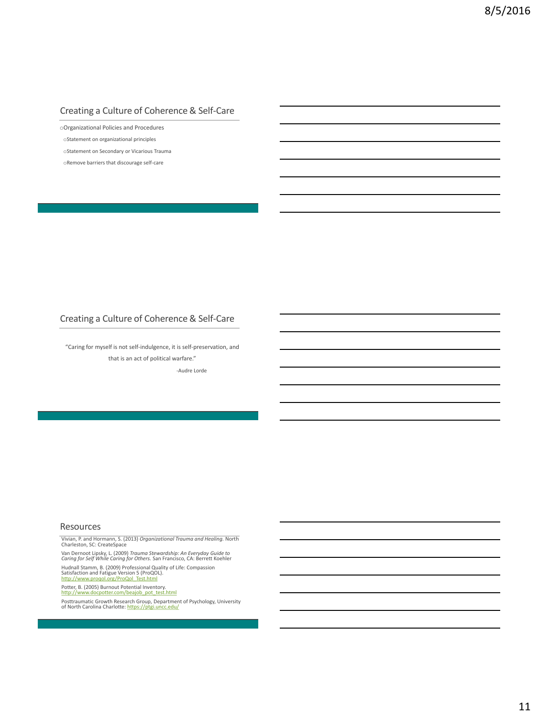# Creating a Culture of Coherence & Self-Care

oOrganizational Policies and Procedures

oStatement on organizational principles

oStatement on Secondary or Vicarious Trauma

oRemove barriers that discourage self-care

# Creating a Culture of Coherence & Self-Care

"Caring for myself is not self-indulgence, it is self-preservation, and that is an act of political warfare."

-Audre Lorde

#### Resources

Vivian, P. and Hormann, S. (2013) *Organizational Trauma and Healing.* North Charleston, SC: CreateSpace

Van Dernoot Lipsky, L. (2009) *Trauma Stewardship: An Everyday Guide to Caring for Self While Caring for Others.* San Francisco, CA: Berrett Koehler Hudnall Stamm, B. (2009) Professional Quality of Life: Compassion<br>Satisfaction and Fatigue Version 5 (ProQOL).<br><u>[http://www.proqol.org/ProQol\\_Test.html](http://www.proqol.org/ProQol_Test.html)</u>

Potter, B. (2005) Burnout Potential Inventory.<br>[http://www.docpotter.com/beajob\\_pot\\_test.html](http://www.docpotter.com/beajob_pot_test.html)

Posttraumatic Growth Research Group, Department of Psychology, University<br>of North Carolina Charlotte: <mark><https://ptgi.uncc.edu/></mark>